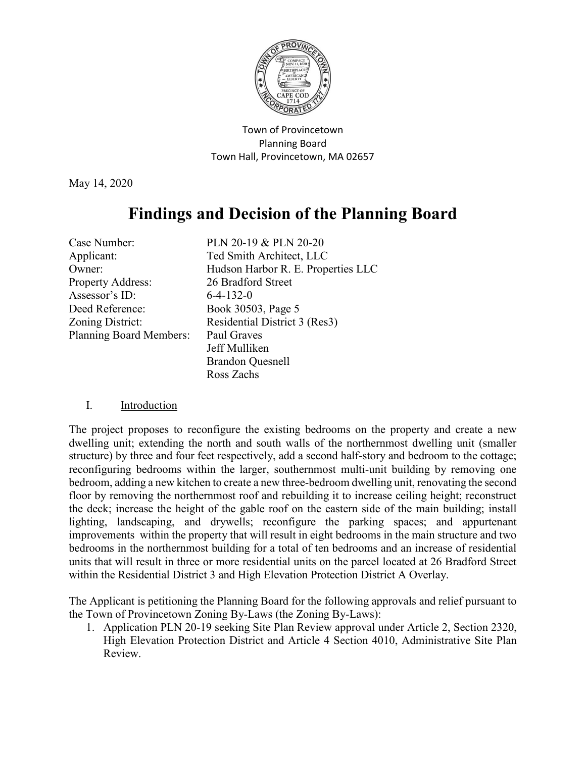

Town of Provincetown Planning Board Town Hall, Provincetown, MA 02657

May 14, 2020

# **Findings and Decision of the Planning Board**

| Case Number:                   | PLN 20-19 & PLN 20-20              |
|--------------------------------|------------------------------------|
| Applicant:                     | Ted Smith Architect, LLC           |
| Owner:                         | Hudson Harbor R. E. Properties LLC |
| <b>Property Address:</b>       | 26 Bradford Street                 |
| Assessor's ID:                 | $6-4-132-0$                        |
| Deed Reference:                | Book 30503, Page 5                 |
| Zoning District:               | Residential District 3 (Res3)      |
| <b>Planning Board Members:</b> | Paul Graves                        |
|                                | Jeff Mulliken                      |
|                                | <b>Brandon Quesnell</b>            |
|                                | Ross Zachs                         |

## I. Introduction

The project proposes to reconfigure the existing bedrooms on the property and create a new dwelling unit; extending the north and south walls of the northernmost dwelling unit (smaller structure) by three and four feet respectively, add a second half-story and bedroom to the cottage; reconfiguring bedrooms within the larger, southernmost multi-unit building by removing one bedroom, adding a new kitchen to create a new three-bedroom dwelling unit, renovating the second floor by removing the northernmost roof and rebuilding it to increase ceiling height; reconstruct the deck; increase the height of the gable roof on the eastern side of the main building; install lighting, landscaping, and drywells; reconfigure the parking spaces; and appurtenant improvements within the property that will result in eight bedrooms in the main structure and two bedrooms in the northernmost building for a total of ten bedrooms and an increase of residential units that will result in three or more residential units on the parcel located at 26 Bradford Street within the Residential District 3 and High Elevation Protection District A Overlay.

The Applicant is petitioning the Planning Board for the following approvals and relief pursuant to the Town of Provincetown Zoning By-Laws (the Zoning By-Laws):

1. Application PLN 20-19 seeking Site Plan Review approval under Article 2, Section 2320, High Elevation Protection District and Article 4 Section 4010, Administrative Site Plan Review.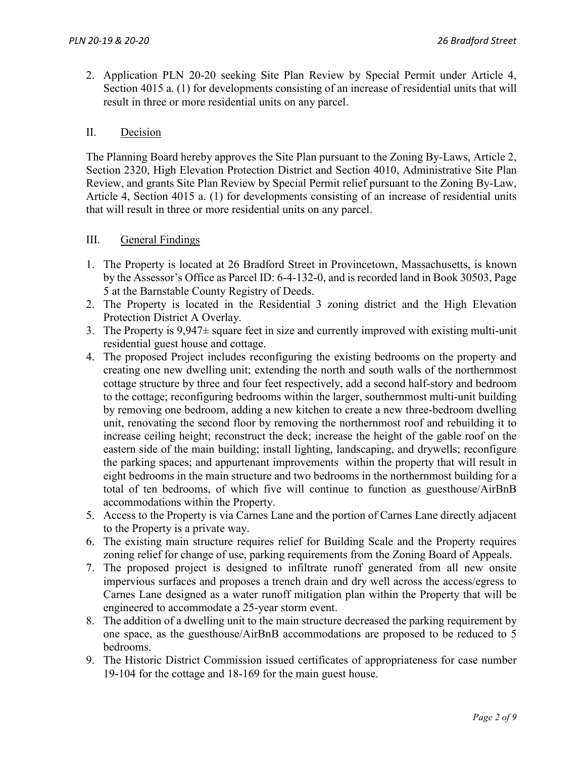2. Application PLN 20-20 seeking Site Plan Review by Special Permit under Article 4, Section 4015 a. (1) for developments consisting of an increase of residential units that will result in three or more residential units on any parcel.

# II. Decision

The Planning Board hereby approves the Site Plan pursuant to the Zoning By-Laws, Article 2, Section 2320, High Elevation Protection District and Section 4010, Administrative Site Plan Review, and grants Site Plan Review by Special Permit relief pursuant to the Zoning By-Law, Article 4, Section 4015 a. (1) for developments consisting of an increase of residential units that will result in three or more residential units on any parcel.

## III. General Findings

- 1. The Property is located at 26 Bradford Street in Provincetown, Massachusetts, is known by the Assessor's Office as Parcel ID: 6-4-132-0, and is recorded land in Book 30503, Page 5 at the Barnstable County Registry of Deeds.
- 2. The Property is located in the Residential 3 zoning district and the High Elevation Protection District A Overlay.
- 3. The Property is  $9.947 \pm$  square feet in size and currently improved with existing multi-unit residential guest house and cottage.
- 4. The proposed Project includes reconfiguring the existing bedrooms on the property and creating one new dwelling unit; extending the north and south walls of the northernmost cottage structure by three and four feet respectively, add a second half-story and bedroom to the cottage; reconfiguring bedrooms within the larger, southernmost multi-unit building by removing one bedroom, adding a new kitchen to create a new three-bedroom dwelling unit, renovating the second floor by removing the northernmost roof and rebuilding it to increase ceiling height; reconstruct the deck; increase the height of the gable roof on the eastern side of the main building; install lighting, landscaping, and drywells; reconfigure the parking spaces; and appurtenant improvements within the property that will result in eight bedrooms in the main structure and two bedrooms in the northernmost building for a total of ten bedrooms, of which five will continue to function as guesthouse/AirBnB accommodations within the Property.
- 5. Access to the Property is via Carnes Lane and the portion of Carnes Lane directly adjacent to the Property is a private way.
- 6. The existing main structure requires relief for Building Scale and the Property requires zoning relief for change of use, parking requirements from the Zoning Board of Appeals.
- 7. The proposed project is designed to infiltrate runoff generated from all new onsite impervious surfaces and proposes a trench drain and dry well across the access/egress to Carnes Lane designed as a water runoff mitigation plan within the Property that will be engineered to accommodate a 25-year storm event.
- 8. The addition of a dwelling unit to the main structure decreased the parking requirement by one space, as the guesthouse/AirBnB accommodations are proposed to be reduced to 5 bedrooms.
- 9. The Historic District Commission issued certificates of appropriateness for case number 19-104 for the cottage and 18-169 for the main guest house.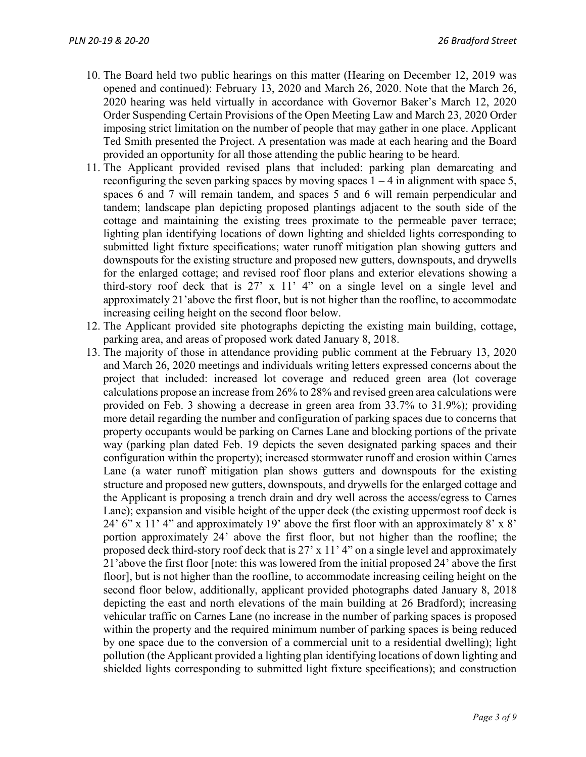- 10. The Board held two public hearings on this matter (Hearing on December 12, 2019 was opened and continued): February 13, 2020 and March 26, 2020. Note that the March 26, 2020 hearing was held virtually in accordance with Governor Baker's March 12, 2020 Order Suspending Certain Provisions of the Open Meeting Law and March 23, 2020 Order imposing strict limitation on the number of people that may gather in one place. Applicant Ted Smith presented the Project. A presentation was made at each hearing and the Board provided an opportunity for all those attending the public hearing to be heard.
- 11. The Applicant provided revised plans that included: parking plan demarcating and reconfiguring the seven parking spaces by moving spaces  $1 - 4$  in alignment with space 5, spaces 6 and 7 will remain tandem, and spaces 5 and 6 will remain perpendicular and tandem; landscape plan depicting proposed plantings adjacent to the south side of the cottage and maintaining the existing trees proximate to the permeable paver terrace; lighting plan identifying locations of down lighting and shielded lights corresponding to submitted light fixture specifications; water runoff mitigation plan showing gutters and downspouts for the existing structure and proposed new gutters, downspouts, and drywells for the enlarged cottage; and revised roof floor plans and exterior elevations showing a third-story roof deck that is 27' x 11' 4" on a single level on a single level and approximately 21'above the first floor, but is not higher than the roofline, to accommodate increasing ceiling height on the second floor below.
- 12. The Applicant provided site photographs depicting the existing main building, cottage, parking area, and areas of proposed work dated January 8, 2018.
- 13. The majority of those in attendance providing public comment at the February 13, 2020 and March 26, 2020 meetings and individuals writing letters expressed concerns about the project that included: increased lot coverage and reduced green area (lot coverage calculations propose an increase from 26% to 28% and revised green area calculations were provided on Feb. 3 showing a decrease in green area from 33.7% to 31.9%); providing more detail regarding the number and configuration of parking spaces due to concerns that property occupants would be parking on Carnes Lane and blocking portions of the private way (parking plan dated Feb. 19 depicts the seven designated parking spaces and their configuration within the property); increased stormwater runoff and erosion within Carnes Lane (a water runoff mitigation plan shows gutters and downspouts for the existing structure and proposed new gutters, downspouts, and drywells for the enlarged cottage and the Applicant is proposing a trench drain and dry well across the access/egress to Carnes Lane); expansion and visible height of the upper deck (the existing uppermost roof deck is 24' 6" x 11' 4" and approximately 19' above the first floor with an approximately 8' x 8' portion approximately 24' above the first floor, but not higher than the roofline; the proposed deck third-story roof deck that is 27' x 11' 4" on a single level and approximately 21'above the first floor [note: this was lowered from the initial proposed 24' above the first floor], but is not higher than the roofline, to accommodate increasing ceiling height on the second floor below, additionally, applicant provided photographs dated January 8, 2018 depicting the east and north elevations of the main building at 26 Bradford); increasing vehicular traffic on Carnes Lane (no increase in the number of parking spaces is proposed within the property and the required minimum number of parking spaces is being reduced by one space due to the conversion of a commercial unit to a residential dwelling); light pollution (the Applicant provided a lighting plan identifying locations of down lighting and shielded lights corresponding to submitted light fixture specifications); and construction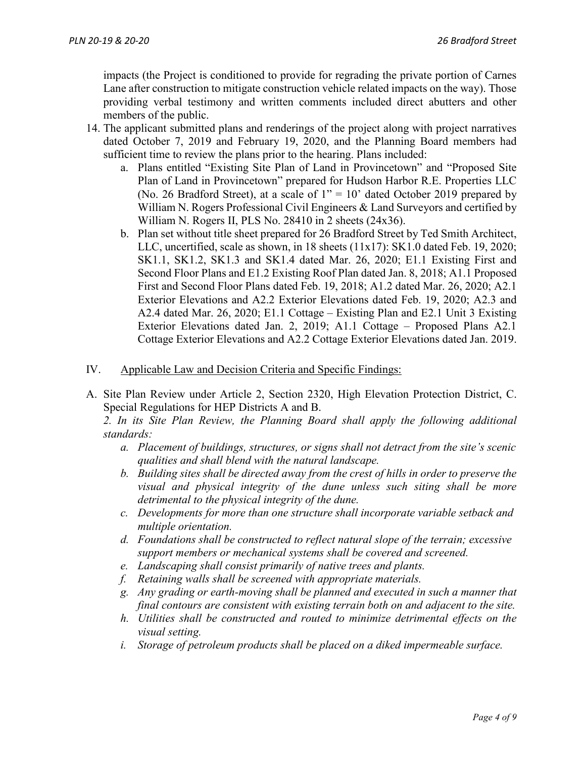impacts (the Project is conditioned to provide for regrading the private portion of Carnes Lane after construction to mitigate construction vehicle related impacts on the way). Those providing verbal testimony and written comments included direct abutters and other members of the public.

- 14. The applicant submitted plans and renderings of the project along with project narratives dated October 7, 2019 and February 19, 2020, and the Planning Board members had sufficient time to review the plans prior to the hearing. Plans included:
	- a. Plans entitled "Existing Site Plan of Land in Provincetown" and "Proposed Site Plan of Land in Provincetown" prepared for Hudson Harbor R.E. Properties LLC (No. 26 Bradford Street), at a scale of  $1'' = 10'$  dated October 2019 prepared by William N. Rogers Professional Civil Engineers & Land Surveyors and certified by William N. Rogers II, PLS No. 28410 in 2 sheets (24x36).
	- b. Plan set without title sheet prepared for 26 Bradford Street by Ted Smith Architect, LLC, uncertified, scale as shown, in 18 sheets (11x17): SK1.0 dated Feb. 19, 2020; SK1.1, SK1.2, SK1.3 and SK1.4 dated Mar. 26, 2020; E1.1 Existing First and Second Floor Plans and E1.2 Existing Roof Plan dated Jan. 8, 2018; A1.1 Proposed First and Second Floor Plans dated Feb. 19, 2018; A1.2 dated Mar. 26, 2020; A2.1 Exterior Elevations and A2.2 Exterior Elevations dated Feb. 19, 2020; A2.3 and A2.4 dated Mar. 26, 2020; E1.1 Cottage – Existing Plan and E2.1 Unit 3 Existing Exterior Elevations dated Jan. 2, 2019; A1.1 Cottage – Proposed Plans A2.1 Cottage Exterior Elevations and A2.2 Cottage Exterior Elevations dated Jan. 2019.
- IV. Applicable Law and Decision Criteria and Specific Findings:
- A. Site Plan Review under Article 2, Section 2320, High Elevation Protection District, C. Special Regulations for HEP Districts A and B.

*2. In its Site Plan Review, the Planning Board shall apply the following additional standards:*

- *a. Placement of buildings, structures, or signs shall not detract from the site's scenic qualities and shall blend with the natural landscape.*
- *b. Building sites shall be directed away from the crest of hills in order to preserve the visual and physical integrity of the dune unless such siting shall be more detrimental to the physical integrity of the dune.*
- *c. Developments for more than one structure shall incorporate variable setback and multiple orientation.*
- *d. Foundations shall be constructed to reflect natural slope of the terrain; excessive support members or mechanical systems shall be covered and screened.*
- *e. Landscaping shall consist primarily of native trees and plants.*
- *f. Retaining walls shall be screened with appropriate materials.*
- *g. Any grading or earth-moving shall be planned and executed in such a manner that final contours are consistent with existing terrain both on and adjacent to the site.*
- *h. Utilities shall be constructed and routed to minimize detrimental effects on the visual setting.*
- *i. Storage of petroleum products shall be placed on a diked impermeable surface.*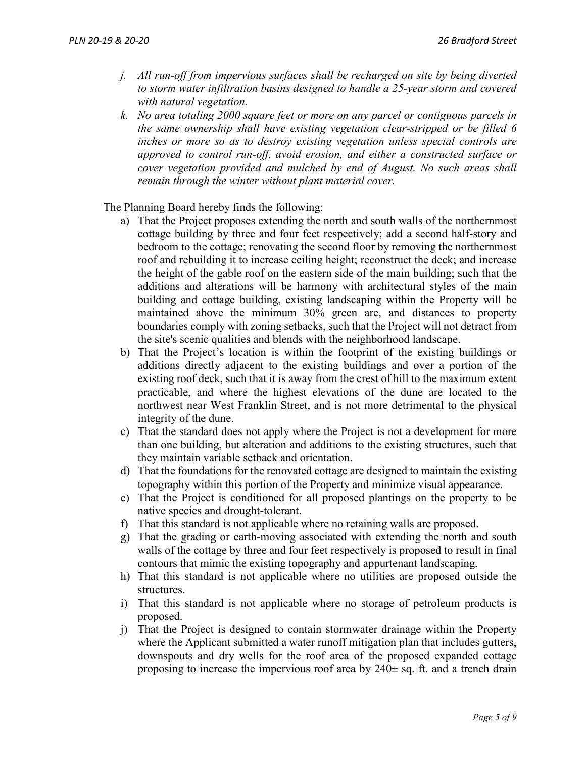- *j. All run-off from impervious surfaces shall be recharged on site by being diverted to storm water infiltration basins designed to handle a 25-year storm and covered with natural vegetation.*
- *k. No area totaling 2000 square feet or more on any parcel or contiguous parcels in the same ownership shall have existing vegetation clear-stripped or be filled 6 inches or more so as to destroy existing vegetation unless special controls are approved to control run-off, avoid erosion, and either a constructed surface or cover vegetation provided and mulched by end of August. No such areas shall remain through the winter without plant material cover.*

The Planning Board hereby finds the following:

- a) That the Project proposes extending the north and south walls of the northernmost cottage building by three and four feet respectively; add a second half-story and bedroom to the cottage; renovating the second floor by removing the northernmost roof and rebuilding it to increase ceiling height; reconstruct the deck; and increase the height of the gable roof on the eastern side of the main building; such that the additions and alterations will be harmony with architectural styles of the main building and cottage building, existing landscaping within the Property will be maintained above the minimum 30% green are, and distances to property boundaries comply with zoning setbacks, such that the Project will not detract from the site's scenic qualities and blends with the neighborhood landscape.
- b) That the Project's location is within the footprint of the existing buildings or additions directly adjacent to the existing buildings and over a portion of the existing roof deck, such that it is away from the crest of hill to the maximum extent practicable, and where the highest elevations of the dune are located to the northwest near West Franklin Street, and is not more detrimental to the physical integrity of the dune.
- c) That the standard does not apply where the Project is not a development for more than one building, but alteration and additions to the existing structures, such that they maintain variable setback and orientation.
- d) That the foundations for the renovated cottage are designed to maintain the existing topography within this portion of the Property and minimize visual appearance.
- e) That the Project is conditioned for all proposed plantings on the property to be native species and drought-tolerant.
- f) That this standard is not applicable where no retaining walls are proposed.
- g) That the grading or earth-moving associated with extending the north and south walls of the cottage by three and four feet respectively is proposed to result in final contours that mimic the existing topography and appurtenant landscaping.
- h) That this standard is not applicable where no utilities are proposed outside the structures.
- i) That this standard is not applicable where no storage of petroleum products is proposed.
- j) That the Project is designed to contain stormwater drainage within the Property where the Applicant submitted a water runoff mitigation plan that includes gutters, downspouts and dry wells for the roof area of the proposed expanded cottage proposing to increase the impervious roof area by  $240 \pm$  sq. ft. and a trench drain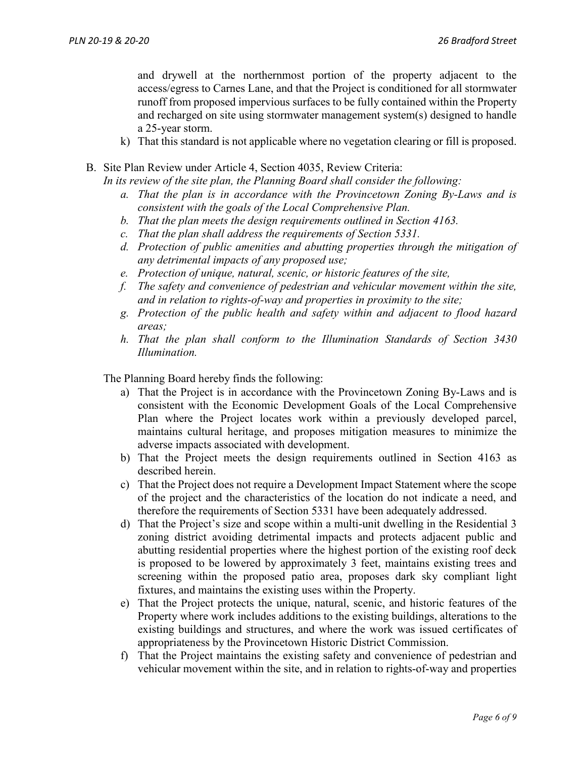and drywell at the northernmost portion of the property adjacent to the access/egress to Carnes Lane, and that the Project is conditioned for all stormwater runoff from proposed impervious surfaces to be fully contained within the Property and recharged on site using stormwater management system(s) designed to handle a 25-year storm.

- k) That this standard is not applicable where no vegetation clearing or fill is proposed.
- B. Site Plan Review under Article 4, Section 4035, Review Criteria:

*In its review of the site plan, the Planning Board shall consider the following:*

- *a. That the plan is in accordance with the Provincetown Zoning By-Laws and is consistent with the goals of the Local Comprehensive Plan.*
- *b. That the plan meets the design requirements outlined in Section 4163.*
- *c. That the plan shall address the requirements of Section 5331.*
- *d. Protection of public amenities and abutting properties through the mitigation of any detrimental impacts of any proposed use;*
- *e. Protection of unique, natural, scenic, or historic features of the site,*
- *f. The safety and convenience of pedestrian and vehicular movement within the site, and in relation to rights-of-way and properties in proximity to the site;*
- *g. Protection of the public health and safety within and adjacent to flood hazard areas;*
- *h. That the plan shall conform to the Illumination Standards of Section 3430 Illumination.*

The Planning Board hereby finds the following:

- a) That the Project is in accordance with the Provincetown Zoning By-Laws and is consistent with the Economic Development Goals of the Local Comprehensive Plan where the Project locates work within a previously developed parcel, maintains cultural heritage, and proposes mitigation measures to minimize the adverse impacts associated with development.
- b) That the Project meets the design requirements outlined in Section 4163 as described herein.
- c) That the Project does not require a Development Impact Statement where the scope of the project and the characteristics of the location do not indicate a need, and therefore the requirements of Section 5331 have been adequately addressed.
- d) That the Project's size and scope within a multi-unit dwelling in the Residential 3 zoning district avoiding detrimental impacts and protects adjacent public and abutting residential properties where the highest portion of the existing roof deck is proposed to be lowered by approximately 3 feet, maintains existing trees and screening within the proposed patio area, proposes dark sky compliant light fixtures, and maintains the existing uses within the Property.
- e) That the Project protects the unique, natural, scenic, and historic features of the Property where work includes additions to the existing buildings, alterations to the existing buildings and structures, and where the work was issued certificates of appropriateness by the Provincetown Historic District Commission.
- f) That the Project maintains the existing safety and convenience of pedestrian and vehicular movement within the site, and in relation to rights-of-way and properties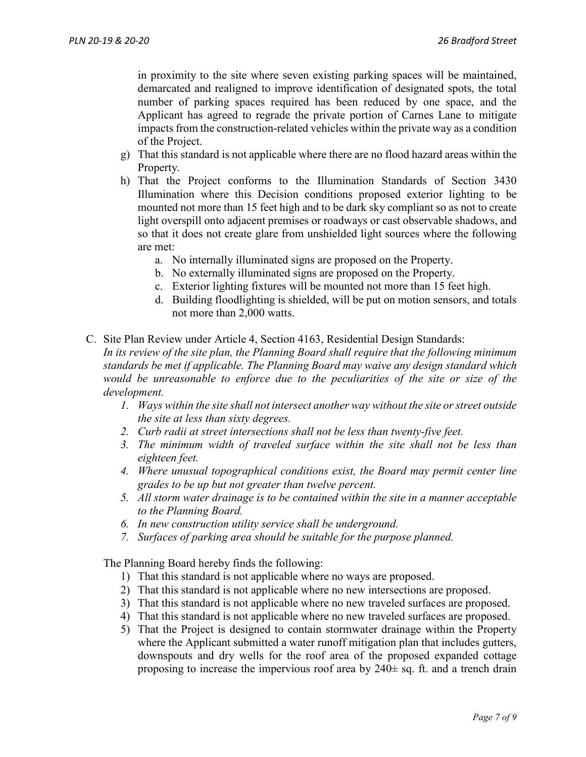in proximity to the site where seven existing parking spaces will be maintained, demarcated and realigned to improve identification of designated spots, the total number of parking spaces required has been reduced by one space, and the Applicant has agreed to regrade the private portion of Carnes Lane to mitigate impacts from the construction-related vehicles within the private way as a condition of the Project.

- g) That this standard is not applicable where there are no flood hazard areas within the Property.
- h) That the Project conforms to the Illumination Standards of Section 3430 Illumination where this Decision conditions proposed exterior lighting to be mounted not more than 15 feet high and to be dark sky compliant so as not to create light overspill onto adjacent premises or roadways or cast observable shadows, and so that it does not create glare from unshielded light sources where the following are met:
	- a. No internally illuminated signs are proposed on the Property.
	- b. No externally illuminated signs are proposed on the Property.
	- c. Exterior lighting fixtures will be mounted not more than 15 feet high.
	- d. Building floodlighting is shielded, will be put on motion sensors, and totals not more than 2,000 watts.
- C. Site Plan Review under Article 4, Section 4163, Residential Design Standards: *In its review of the site plan, the Planning Board shall require that the following minimum standards be met if applicable. The Planning Board may waive any design standard which would be unreasonable to enforce due to the peculiarities of the site or size of the development.*
	- *1. Ways within the site shall not intersect another way without the site or street outside the site at less than sixty degrees.*
	- *2. Curb radii at street intersections shall not be less than twenty-five feet.*
	- *3. The minimum width of traveled surface within the site shall not be less than eighteen feet.*
	- *4. Where unusual topographical conditions exist, the Board may permit center line grades to be up but not greater than twelve percent.*
	- *5. All storm water drainage is to be contained within the site in a manner acceptable to the Planning Board.*
	- *6. In new construction utility service shall be underground.*
	- *7. Surfaces of parking area should be suitable for the purpose planned.*

The Planning Board hereby finds the following:

- 1) That this standard is not applicable where no ways are proposed.
- 2) That this standard is not applicable where no new intersections are proposed.
- 3) That this standard is not applicable where no new traveled surfaces are proposed.
- 4) That this standard is not applicable where no new traveled surfaces are proposed.
- 5) That the Project is designed to contain stormwater drainage within the Property where the Applicant submitted a water runoff mitigation plan that includes gutters, downspouts and dry wells for the roof area of the proposed expanded cottage proposing to increase the impervious roof area by  $240 \pm$  sq. ft. and a trench drain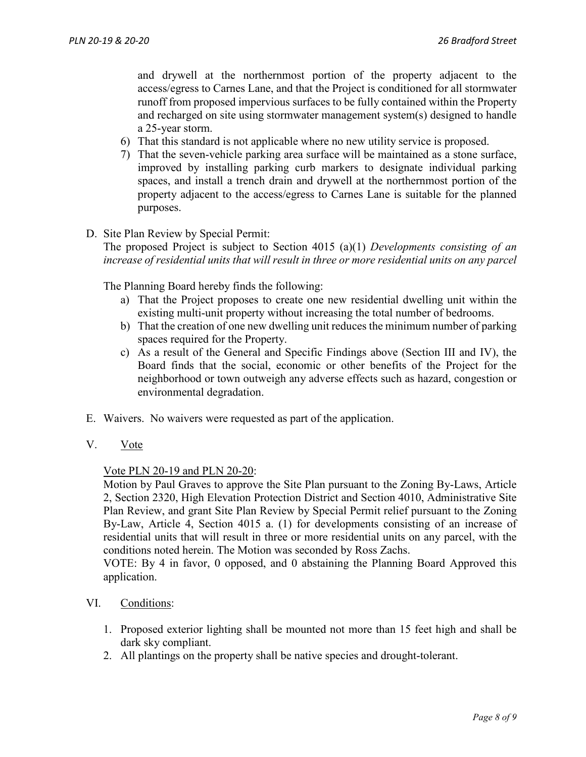and drywell at the northernmost portion of the property adjacent to the access/egress to Carnes Lane, and that the Project is conditioned for all stormwater runoff from proposed impervious surfaces to be fully contained within the Property and recharged on site using stormwater management system(s) designed to handle a 25-year storm.

- 6) That this standard is not applicable where no new utility service is proposed.
- 7) That the seven-vehicle parking area surface will be maintained as a stone surface, improved by installing parking curb markers to designate individual parking spaces, and install a trench drain and drywell at the northernmost portion of the property adjacent to the access/egress to Carnes Lane is suitable for the planned purposes.
- D. Site Plan Review by Special Permit:

The proposed Project is subject to Section 4015 (a)(1) *Developments consisting of an increase of residential units that will result in three or more residential units on any parcel*

The Planning Board hereby finds the following:

- a) That the Project proposes to create one new residential dwelling unit within the existing multi-unit property without increasing the total number of bedrooms.
- b) That the creation of one new dwelling unit reduces the minimum number of parking spaces required for the Property.
- c) As a result of the General and Specific Findings above (Section III and IV), the Board finds that the social, economic or other benefits of the Project for the neighborhood or town outweigh any adverse effects such as hazard, congestion or environmental degradation.
- E. Waivers. No waivers were requested as part of the application.
- V. Vote

#### Vote PLN 20-19 and PLN 20-20:

Motion by Paul Graves to approve the Site Plan pursuant to the Zoning By-Laws, Article 2, Section 2320, High Elevation Protection District and Section 4010, Administrative Site Plan Review, and grant Site Plan Review by Special Permit relief pursuant to the Zoning By-Law, Article 4, Section 4015 a. (1) for developments consisting of an increase of residential units that will result in three or more residential units on any parcel, with the conditions noted herein. The Motion was seconded by Ross Zachs.

VOTE: By 4 in favor, 0 opposed, and 0 abstaining the Planning Board Approved this application.

- VI. Conditions:
	- 1. Proposed exterior lighting shall be mounted not more than 15 feet high and shall be dark sky compliant.
	- 2. All plantings on the property shall be native species and drought-tolerant.